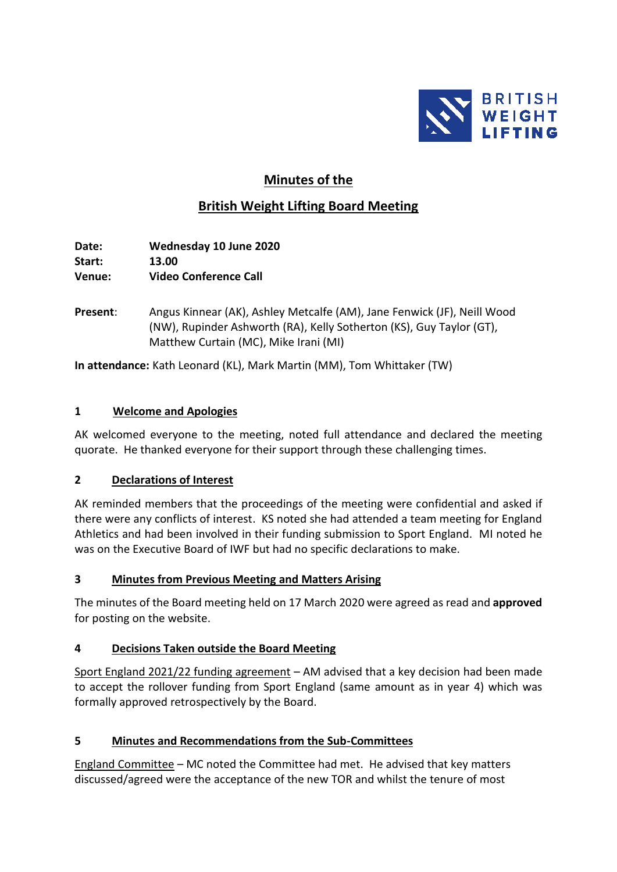

# **Minutes of the**

# **British Weight Lifting Board Meeting**

**Date: Wednesday 10 June 2020 Start: 13.00 Venue: Video Conference Call**

**Present**: Angus Kinnear (AK), Ashley Metcalfe (AM), Jane Fenwick (JF), Neill Wood (NW), Rupinder Ashworth (RA), Kelly Sotherton (KS), Guy Taylor (GT), Matthew Curtain (MC), Mike Irani (MI)

**In attendance:** Kath Leonard (KL), Mark Martin (MM), Tom Whittaker (TW)

### **1 Welcome and Apologies**

AK welcomed everyone to the meeting, noted full attendance and declared the meeting quorate. He thanked everyone for their support through these challenging times.

# **2 Declarations of Interest**

AK reminded members that the proceedings of the meeting were confidential and asked if there were any conflicts of interest. KS noted she had attended a team meeting for England Athletics and had been involved in their funding submission to Sport England. MI noted he was on the Executive Board of IWF but had no specific declarations to make.

# **3 Minutes from Previous Meeting and Matters Arising**

The minutes of the Board meeting held on 17 March 2020 were agreed as read and **approved** for posting on the website.

# **4 Decisions Taken outside the Board Meeting**

Sport England 2021/22 funding agreement – AM advised that a key decision had been made to accept the rollover funding from Sport England (same amount as in year 4) which was formally approved retrospectively by the Board.

#### **5 Minutes and Recommendations from the Sub-Committees**

England Committee – MC noted the Committee had met. He advised that key matters discussed/agreed were the acceptance of the new TOR and whilst the tenure of most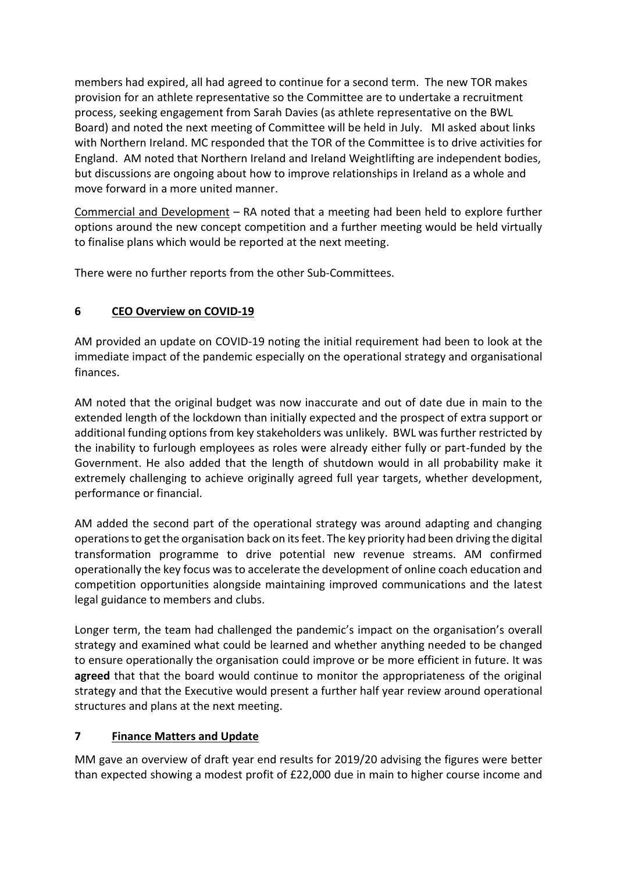members had expired, all had agreed to continue for a second term. The new TOR makes provision for an athlete representative so the Committee are to undertake a recruitment process, seeking engagement from Sarah Davies (as athlete representative on the BWL Board) and noted the next meeting of Committee will be held in July. MI asked about links with Northern Ireland. MC responded that the TOR of the Committee is to drive activities for England. AM noted that Northern Ireland and Ireland Weightlifting are independent bodies, but discussions are ongoing about how to improve relationships in Ireland as a whole and move forward in a more united manner.

Commercial and Development – RA noted that a meeting had been held to explore further options around the new concept competition and a further meeting would be held virtually to finalise plans which would be reported at the next meeting.

There were no further reports from the other Sub-Committees.

# **6 CEO Overview on COVID-19**

AM provided an update on COVID-19 noting the initial requirement had been to look at the immediate impact of the pandemic especially on the operational strategy and organisational finances.

AM noted that the original budget was now inaccurate and out of date due in main to the extended length of the lockdown than initially expected and the prospect of extra support or additional funding options from key stakeholders was unlikely. BWL was further restricted by the inability to furlough employees as roles were already either fully or part-funded by the Government. He also added that the length of shutdown would in all probability make it extremely challenging to achieve originally agreed full year targets, whether development, performance or financial.

AM added the second part of the operational strategy was around adapting and changing operations to get the organisation back on its feet. The key priority had been driving the digital transformation programme to drive potential new revenue streams. AM confirmed operationally the key focus was to accelerate the development of online coach education and competition opportunities alongside maintaining improved communications and the latest legal guidance to members and clubs.

Longer term, the team had challenged the pandemic's impact on the organisation's overall strategy and examined what could be learned and whether anything needed to be changed to ensure operationally the organisation could improve or be more efficient in future. It was **agreed** that that the board would continue to monitor the appropriateness of the original strategy and that the Executive would present a further half year review around operational structures and plans at the next meeting.

# **7 Finance Matters and Update**

MM gave an overview of draft year end results for 2019/20 advising the figures were better than expected showing a modest profit of £22,000 due in main to higher course income and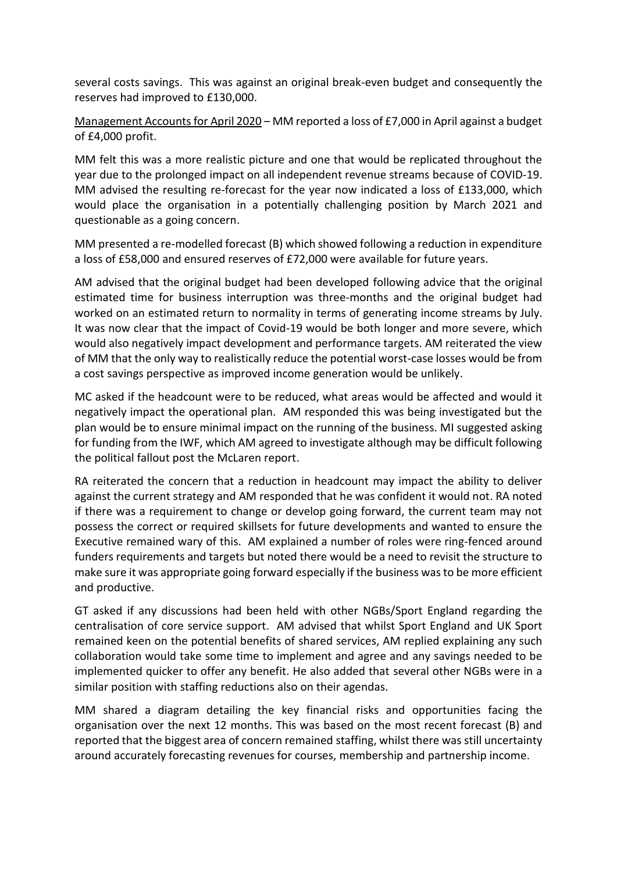several costs savings. This was against an original break-even budget and consequently the reserves had improved to £130,000.

Management Accountsfor April 2020 – MM reported a loss of £7,000 in April against a budget of £4,000 profit.

MM felt this was a more realistic picture and one that would be replicated throughout the year due to the prolonged impact on all independent revenue streams because of COVID-19. MM advised the resulting re-forecast for the year now indicated a loss of £133,000, which would place the organisation in a potentially challenging position by March 2021 and questionable as a going concern.

MM presented a re-modelled forecast (B) which showed following a reduction in expenditure a loss of £58,000 and ensured reserves of £72,000 were available for future years.

AM advised that the original budget had been developed following advice that the original estimated time for business interruption was three-months and the original budget had worked on an estimated return to normality in terms of generating income streams by July. It was now clear that the impact of Covid-19 would be both longer and more severe, which would also negatively impact development and performance targets. AM reiterated the view of MM that the only way to realistically reduce the potential worst-case losses would be from a cost savings perspective as improved income generation would be unlikely.

MC asked if the headcount were to be reduced, what areas would be affected and would it negatively impact the operational plan. AM responded this was being investigated but the plan would be to ensure minimal impact on the running of the business. MI suggested asking for funding from the IWF, which AM agreed to investigate although may be difficult following the political fallout post the McLaren report.

RA reiterated the concern that a reduction in headcount may impact the ability to deliver against the current strategy and AM responded that he was confident it would not. RA noted if there was a requirement to change or develop going forward, the current team may not possess the correct or required skillsets for future developments and wanted to ensure the Executive remained wary of this. AM explained a number of roles were ring-fenced around funders requirements and targets but noted there would be a need to revisit the structure to make sure it was appropriate going forward especially if the business was to be more efficient and productive.

GT asked if any discussions had been held with other NGBs/Sport England regarding the centralisation of core service support. AM advised that whilst Sport England and UK Sport remained keen on the potential benefits of shared services, AM replied explaining any such collaboration would take some time to implement and agree and any savings needed to be implemented quicker to offer any benefit. He also added that several other NGBs were in a similar position with staffing reductions also on their agendas.

MM shared a diagram detailing the key financial risks and opportunities facing the organisation over the next 12 months. This was based on the most recent forecast (B) and reported that the biggest area of concern remained staffing, whilst there was still uncertainty around accurately forecasting revenues for courses, membership and partnership income.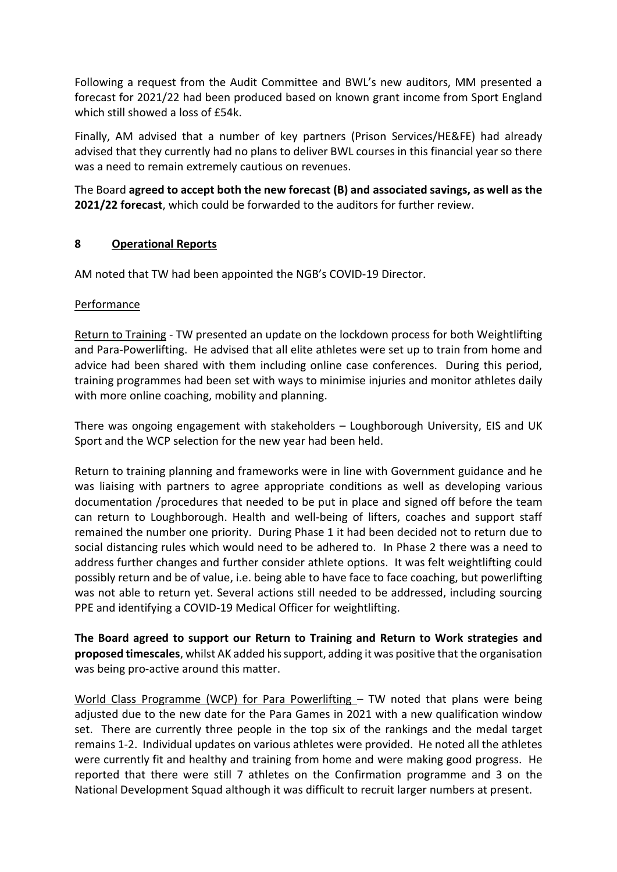Following a request from the Audit Committee and BWL's new auditors, MM presented a forecast for 2021/22 had been produced based on known grant income from Sport England which still showed a loss of £54k.

Finally, AM advised that a number of key partners (Prison Services/HE&FE) had already advised that they currently had no plans to deliver BWL courses in this financial year so there was a need to remain extremely cautious on revenues.

The Board **agreed to accept both the new forecast (B) and associated savings, as well as the 2021/22 forecast**, which could be forwarded to the auditors for further review.

#### **8 Operational Reports**

AM noted that TW had been appointed the NGB's COVID-19 Director.

#### Performance

Return to Training - TW presented an update on the lockdown process for both Weightlifting and Para-Powerlifting. He advised that all elite athletes were set up to train from home and advice had been shared with them including online case conferences. During this period, training programmes had been set with ways to minimise injuries and monitor athletes daily with more online coaching, mobility and planning.

There was ongoing engagement with stakeholders – Loughborough University, EIS and UK Sport and the WCP selection for the new year had been held.

Return to training planning and frameworks were in line with Government guidance and he was liaising with partners to agree appropriate conditions as well as developing various documentation /procedures that needed to be put in place and signed off before the team can return to Loughborough. Health and well-being of lifters, coaches and support staff remained the number one priority. During Phase 1 it had been decided not to return due to social distancing rules which would need to be adhered to. In Phase 2 there was a need to address further changes and further consider athlete options. It was felt weightlifting could possibly return and be of value, i.e. being able to have face to face coaching, but powerlifting was not able to return yet. Several actions still needed to be addressed, including sourcing PPE and identifying a COVID-19 Medical Officer for weightlifting.

**The Board agreed to support our Return to Training and Return to Work strategies and proposed timescales**, whilst AK added his support, adding it was positive that the organisation was being pro-active around this matter.

World Class Programme (WCP) for Para Powerlifting – TW noted that plans were being adjusted due to the new date for the Para Games in 2021 with a new qualification window set. There are currently three people in the top six of the rankings and the medal target remains 1-2. Individual updates on various athletes were provided. He noted all the athletes were currently fit and healthy and training from home and were making good progress. He reported that there were still 7 athletes on the Confirmation programme and 3 on the National Development Squad although it was difficult to recruit larger numbers at present.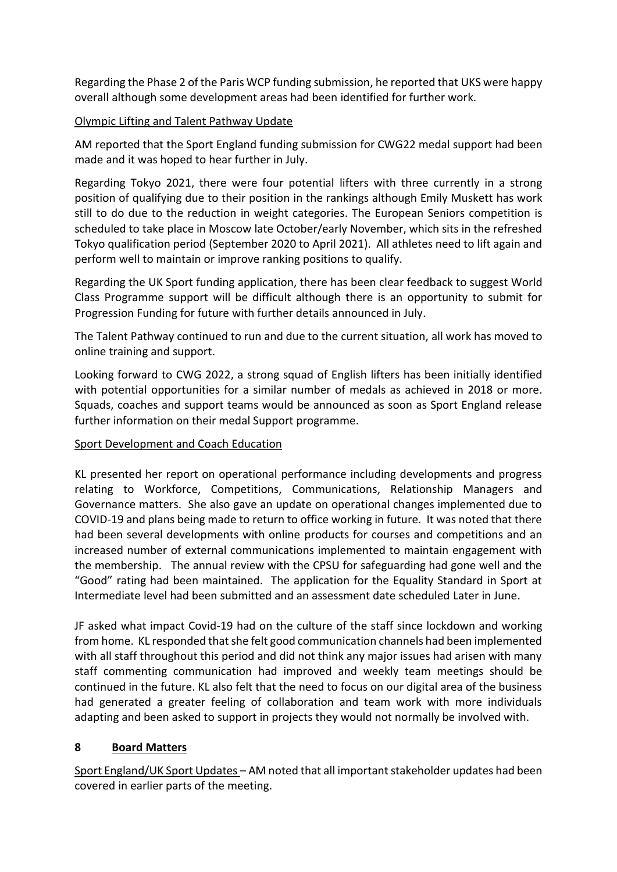Regarding the Phase 2 of the Paris WCP funding submission, he reported that UKS were happy overall although some development areas had been identified for further work.

#### Olympic Lifting and Talent Pathway Update

AM reported that the Sport England funding submission for CWG22 medal support had been made and it was hoped to hear further in July.

Regarding Tokyo 2021, there were four potential lifters with three currently in a strong position of qualifying due to their position in the rankings although Emily Muskett has work still to do due to the reduction in weight categories. The European Seniors competition is scheduled to take place in Moscow late October/early November, which sits in the refreshed Tokyo qualification period (September 2020 to April 2021). All athletes need to lift again and perform well to maintain or improve ranking positions to qualify.

Regarding the UK Sport funding application, there has been clear feedback to suggest World Class Programme support will be difficult although there is an opportunity to submit for Progression Funding for future with further details announced in July.

The Talent Pathway continued to run and due to the current situation, all work has moved to online training and support.

Looking forward to CWG 2022, a strong squad of English lifters has been initially identified with potential opportunities for a similar number of medals as achieved in 2018 or more. Squads, coaches and support teams would be announced as soon as Sport England release further information on their medal Support programme.

#### Sport Development and Coach Education

KL presented her report on operational performance including developments and progress relating to Workforce, Competitions, Communications, Relationship Managers and Governance matters. She also gave an update on operational changes implemented due to COVID-19 and plans being made to return to office working in future. It was noted that there had been several developments with online products for courses and competitions and an increased number of external communications implemented to maintain engagement with the membership. The annual review with the CPSU for safeguarding had gone well and the "Good" rating had been maintained. The application for the Equality Standard in Sport at Intermediate level had been submitted and an assessment date scheduled Later in June.

JF asked what impact Covid-19 had on the culture of the staff since lockdown and working from home. KL responded that she felt good communication channels had been implemented with all staff throughout this period and did not think any major issues had arisen with many staff commenting communication had improved and weekly team meetings should be continued in the future. KL also felt that the need to focus on our digital area of the business had generated a greater feeling of collaboration and team work with more individuals adapting and been asked to support in projects they would not normally be involved with.

# **8 Board Matters**

Sport England/UK Sport Updates – AM noted that all important stakeholder updates had been covered in earlier parts of the meeting.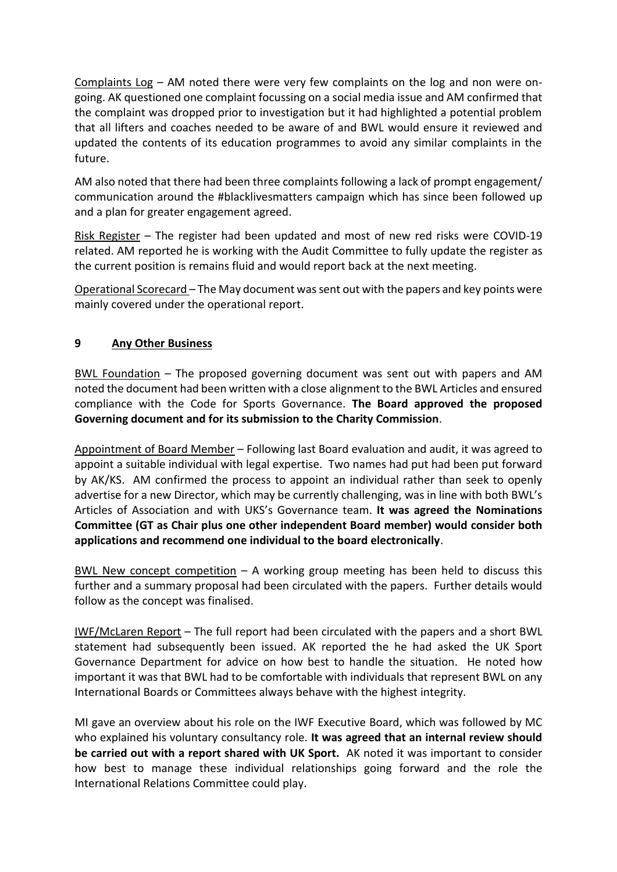Complaints Log – AM noted there were very few complaints on the log and non were ongoing. AK questioned one complaint focussing on a social media issue and AM confirmed that the complaint was dropped prior to investigation but it had highlighted a potential problem that all lifters and coaches needed to be aware of and BWL would ensure it reviewed and updated the contents of its education programmes to avoid any similar complaints in the future.

AM also noted that there had been three complaints following a lack of prompt engagement/ communication around the #blacklivesmatters campaign which has since been followed up and a plan for greater engagement agreed.

Risk Register – The register had been updated and most of new red risks were COVID-19 related. AM reported he is working with the Audit Committee to fully update the register as the current position is remains fluid and would report back at the next meeting.

Operational Scorecard – The May document was sent out with the papers and key points were mainly covered under the operational report.

### **9 Any Other Business**

BWL Foundation – The proposed governing document was sent out with papers and AM noted the document had been written with a close alignment to the BWL Articles and ensured compliance with the Code for Sports Governance. **The Board approved the proposed Governing document and for its submission to the Charity Commission**.

Appointment of Board Member – Following last Board evaluation and audit, it was agreed to appoint a suitable individual with legal expertise. Two names had put had been put forward by AK/KS. AM confirmed the process to appoint an individual rather than seek to openly advertise for a new Director, which may be currently challenging, was in line with both BWL's Articles of Association and with UKS's Governance team. **It was agreed the Nominations Committee (GT as Chair plus one other independent Board member) would consider both applications and recommend one individual to the board electronically**.

BWL New concept competition  $-$  A working group meeting has been held to discuss this further and a summary proposal had been circulated with the papers. Further details would follow as the concept was finalised.

IWF/McLaren Report – The full report had been circulated with the papers and a short BWL statement had subsequently been issued. AK reported the he had asked the UK Sport Governance Department for advice on how best to handle the situation. He noted how important it was that BWL had to be comfortable with individuals that represent BWL on any International Boards or Committees always behave with the highest integrity.

MI gave an overview about his role on the IWF Executive Board, which was followed by MC who explained his voluntary consultancy role. **It was agreed that an internal review should be carried out with a report shared with UK Sport.** AK noted it was important to consider how best to manage these individual relationships going forward and the role the International Relations Committee could play.